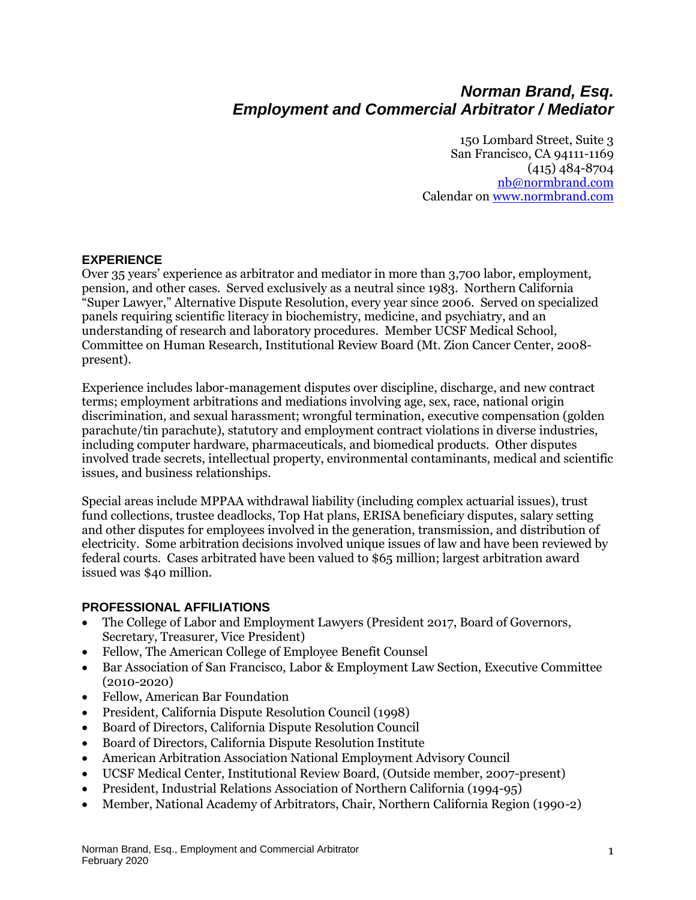# *Norman Brand, Esq. Employment and Commercial Arbitrator / Mediator*

150 Lombard Street, Suite 3 San Francisco, CA 94111-1169 (415) 484-8704 [nb@normbrand.com](mailto:adrmaster@abanet.org) Calendar o[n www.normbrand.com](http://www.normbrand.com/)

#### **EXPERIENCE**

Over 35 years' experience as arbitrator and mediator in more than 3,700 labor, employment, pension, and other cases. Served exclusively as a neutral since 1983. Northern California "Super Lawyer," Alternative Dispute Resolution, every year since 2006. Served on specialized panels requiring scientific literacy in biochemistry, medicine, and psychiatry, and an understanding of research and laboratory procedures. Member UCSF Medical School, Committee on Human Research, Institutional Review Board (Mt. Zion Cancer Center, 2008 present).

Experience includes labor-management disputes over discipline, discharge, and new contract terms; employment arbitrations and mediations involving age, sex, race, national origin discrimination, and sexual harassment; wrongful termination, executive compensation (golden parachute/tin parachute), statutory and employment contract violations in diverse industries, including computer hardware, pharmaceuticals, and biomedical products. Other disputes involved trade secrets, intellectual property, environmental contaminants, medical and scientific issues, and business relationships.

Special areas include MPPAA withdrawal liability (including complex actuarial issues), trust fund collections, trustee deadlocks, Top Hat plans, ERISA beneficiary disputes, salary setting and other disputes for employees involved in the generation, transmission, and distribution of electricity. Some arbitration decisions involved unique issues of law and have been reviewed by federal courts. Cases arbitrated have been valued to \$65 million; largest arbitration award issued was \$40 million.

#### **PROFESSIONAL AFFILIATIONS**

- The College of Labor and Employment Lawyers (President 2017, Board of Governors, Secretary, Treasurer, Vice President)
- Fellow, The American College of Employee Benefit Counsel
- Bar Association of San Francisco, Labor & Employment Law Section, Executive Committee (2010-2020)
- Fellow, American Bar Foundation
- President, California Dispute Resolution Council (1998)
- Board of Directors, California Dispute Resolution Council
- Board of Directors, California Dispute Resolution Institute
- American Arbitration Association National Employment Advisory Council
- UCSF Medical Center, Institutional Review Board, (Outside member, 2007-present)
- President, Industrial Relations Association of Northern California (1994-95)
- Member, National Academy of Arbitrators, Chair, Northern California Region (1990-2)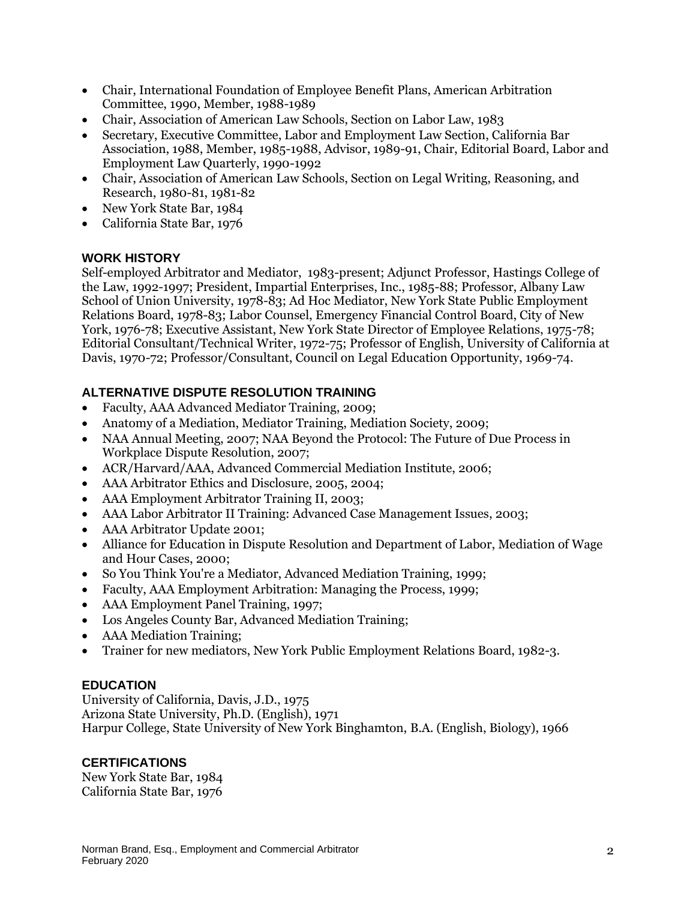- Chair, International Foundation of Employee Benefit Plans, American Arbitration Committee, 1990, Member, 1988-1989
- Chair, Association of American Law Schools, Section on Labor Law, 1983
- Secretary, Executive Committee, Labor and Employment Law Section, California Bar Association, 1988, Member, 1985-1988, Advisor, 1989-91, Chair, Editorial Board, Labor and Employment Law Quarterly, 1990-1992
- Chair, Association of American Law Schools, Section on Legal Writing, Reasoning, and Research, 1980-81, 1981-82
- New York State Bar, 1984
- California State Bar, 1976

### **WORK HISTORY**

Self-employed Arbitrator and Mediator, 1983-present; Adjunct Professor, Hastings College of the Law, 1992-1997; President, Impartial Enterprises, Inc., 1985-88; Professor, Albany Law School of Union University, 1978-83; Ad Hoc Mediator, New York State Public Employment Relations Board, 1978-83; Labor Counsel, Emergency Financial Control Board, City of New York, 1976-78; Executive Assistant, New York State Director of Employee Relations, 1975-78; Editorial Consultant/Technical Writer, 1972-75; Professor of English, University of California at Davis, 1970-72; Professor/Consultant, Council on Legal Education Opportunity, 1969-74.

# **ALTERNATIVE DISPUTE RESOLUTION TRAINING**

- Faculty, AAA Advanced Mediator Training, 2009;
- Anatomy of a Mediation, Mediator Training, Mediation Society, 2009;
- NAA Annual Meeting, 2007; NAA Beyond the Protocol: The Future of Due Process in Workplace Dispute Resolution, 2007;
- ACR/Harvard/AAA, Advanced Commercial Mediation Institute, 2006;
- AAA Arbitrator Ethics and Disclosure, 2005, 2004;
- AAA Employment Arbitrator Training II, 2003;
- AAA Labor Arbitrator II Training: Advanced Case Management Issues, 2003;
- AAA Arbitrator Update 2001;
- Alliance for Education in Dispute Resolution and Department of Labor, Mediation of Wage and Hour Cases, 2000;
- So You Think You're a Mediator, Advanced Mediation Training, 1999;
- Faculty, AAA Employment Arbitration: Managing the Process, 1999;
- AAA Employment Panel Training, 1997;
- Los Angeles County Bar, Advanced Mediation Training;
- AAA Mediation Training;
- Trainer for new mediators, New York Public Employment Relations Board, 1982-3.

#### **EDUCATION**

University of California, Davis, J.D., 1975 Arizona State University, Ph.D. (English), 1971 Harpur College, State University of New York Binghamton, B.A. (English, Biology), 1966

# **CERTIFICATIONS**

New York State Bar, 1984 California State Bar, 1976